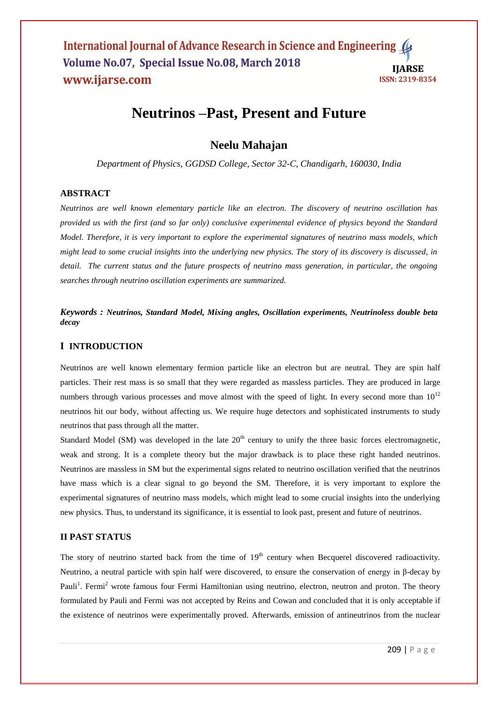# **Neutrinos –Past, Present and Future**

## **Neelu Mahajan**

*Department of Physics, GGDSD College, Sector 32-C, Chandigarh, 160030, India*

#### **ABSTRACT**

*Neutrinos are well known elementary particle like an electron. The discovery of neutrino oscillation has provided us with the first (and so far only) conclusive experimental evidence of physics beyond the Standard Model. Therefore, it is very important to explore the experimental signatures of neutrino mass models, which might lead to some crucial insights into the underlying new physics. The story of its discovery is discussed, in detail. The current status and the future prospects of neutrino mass generation, in particular, the ongoing searches through neutrino oscillation experiments are summarized.*

*Keywords : Neutrinos, Standard Model, Mixing angles, Oscillation experiments, Neutrinoless double beta decay*

## **I INTRODUCTION**

Neutrinos are well known elementary fermion particle like an electron but are neutral. They are spin half particles. Their rest mass is so small that they were regarded as massless particles. They are produced in large numbers through various processes and move almost with the speed of light. In every second more than  $10^{12}$ neutrinos hit our body, without affecting us. We require huge detectors and sophisticated instruments to study neutrinos that pass through all the matter.

Standard Model (SM) was developed in the late  $20<sup>th</sup>$  century to unify the three basic forces electromagnetic, weak and strong. It is a complete theory but the major drawback is to place these right handed neutrinos. Neutrinos are massless in SM but the experimental signs related to neutrino oscillation verified that the neutrinos have mass which is a clear signal to go beyond the SM. Therefore, it is very important to explore the experimental signatures of neutrino mass models, which might lead to some crucial insights into the underlying new physics. Thus, to understand its significance, it is essential to look past, present and future of neutrinos.

## **II PAST STATUS**

The story of neutrino started back from the time of  $19<sup>th</sup>$  century when Becquerel discovered radioactivity. Neutrino, a neutral particle with spin half were discovered, to ensure the conservation of energy in β-decay by Pauli<sup>1</sup>. Fermi<sup>2</sup> wrote famous four Fermi Hamiltonian using neutrino, electron, neutron and proton. The theory formulated by Pauli and Fermi was not accepted by Reins and Cowan and concluded that it is only acceptable if the existence of neutrinos were experimentally proved. Afterwards, emission of antineutrinos from the nuclear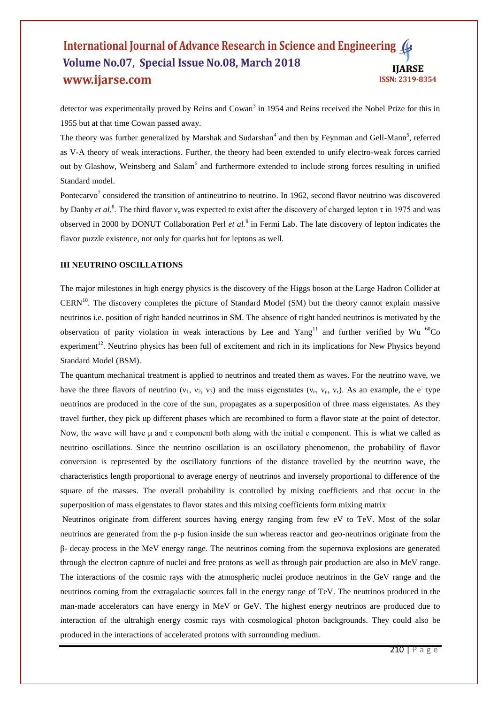detector was experimentally proved by Reins and Cowan<sup>3</sup> in 1954 and Reins received the Nobel Prize for this in 1955 but at that time Cowan passed away.

The theory was further generalized by Marshak and Sudarshan<sup>4</sup> and then by Feynman and Gell-Mann<sup>5</sup>, referred as V-A theory of weak interactions. Further, the theory had been extended to unify electro-weak forces carried out by Glashow, Weinsberg and Salam<sup>6</sup> and furthermore extended to include strong forces resulting in unified Standard model.

Pontecarvo<sup>7</sup> considered the transition of antineutrino to neutrino. In 1962, second flavor neutrino was discovered by Danby *et al.*<sup>8</sup>. The third flavor  $v<sub>τ</sub>$  was expected to exist after the discovery of charged lepton  $\tau$  in 1975 and was observed in 2000 by DONUT Collaboration Perl *et al.*<sup>9</sup> in Fermi Lab. The late discovery of lepton indicates the flavor puzzle existence, not only for quarks but for leptons as well.

#### **III NEUTRINO OSCILLATIONS**

The major milestones in high energy physics is the discovery of the Higgs boson at the Large Hadron Collider at CERN<sup>10</sup>. The discovery completes the picture of Standard Model (SM) but the theory cannot explain massive neutrinos i.e. position of right handed neutrinos in SM. The absence of right handed neutrinos is motivated by the observation of parity violation in weak interactions by Lee and Yang<sup>11</sup> and further verified by Wu  $^{60}$ Co experiment<sup>12</sup>. Neutrino physics has been full of excitement and rich in its implications for New Physics beyond Standard Model (BSM).

The quantum mechanical treatment is applied to neutrinos and treated them as waves. For the neutrino wave, we have the three flavors of neutrino  $(v_1, v_2, v_3)$  and the mass eigenstates  $(v_e, v_\mu, v_\tau)$ . As an example, the e<sup>-</sup> type neutrinos are produced in the core of the sun, propagates as a superposition of three mass eigenstates. As they travel further, they pick up different phases which are recombined to form a flavor state at the point of detector. Now, the wave will have  $\mu$  and  $\tau$  component both along with the initial e component. This is what we called as neutrino oscillations. Since the neutrino oscillation is an oscillatory phenomenon, the probability of flavor conversion is represented by the oscillatory functions of the distance travelled by the neutrino wave, the characteristics length proportional to average energy of neutrinos and inversely proportional to difference of the square of the masses. The overall probability is controlled by mixing coefficients and that occur in the superposition of mass eigenstates to flavor states and this mixing coefficients form mixing matrix

Neutrinos originate from different sources having energy ranging from few eV to TeV. Most of the solar neutrinos are generated from the p-p fusion inside the sun whereas reactor and geo-neutrinos originate from the β- decay process in the MeV energy range. The neutrinos coming from the supernova explosions are generated through the electron capture of nuclei and free protons as well as through pair production are also in MeV range. The interactions of the cosmic rays with the atmospheric nuclei produce neutrinos in the GeV range and the neutrinos coming from the extragalactic sources fall in the energy range of TeV. The neutrinos produced in the man-made accelerators can have energy in MeV or GeV. The highest energy neutrinos are produced due to interaction of the ultrahigh energy cosmic rays with cosmological photon backgrounds. They could also be produced in the interactions of accelerated protons with surrounding medium.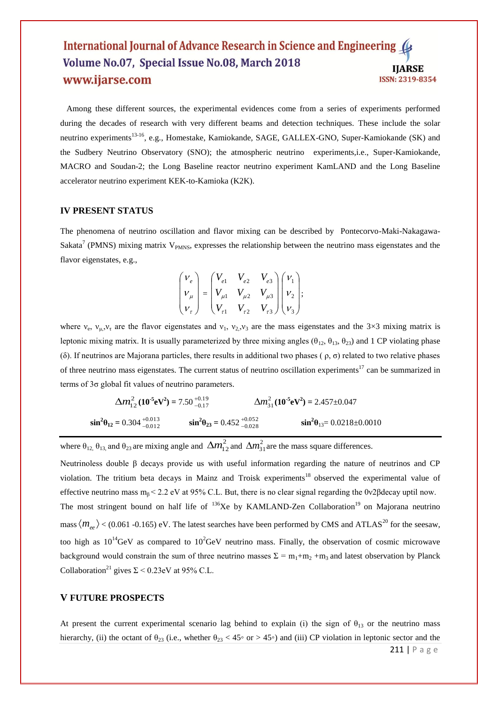Among these different sources, the experimental evidences come from a series of experiments performed during the decades of research with very different beams and detection techniques. These include the solar neutrino experiments<sup>13-16</sup>, e.g., Homestake, Kamiokande, SAGE, GALLEX-GNO, Super-Kamiokande (SK) and the Sudbery Neutrino Observatory (SNO); the atmospheric neutrino experiments, i.e., Super-Kamiokande, MACRO and Soudan-2; the Long Baseline reactor neutrino experiment KamLAND and the Long Baseline accelerator neutrino experiment KEK-to-Kamioka (K2K).

#### **IV PRESENT STATUS**

The phenomena of neutrino oscillation and flavor mixing can be described by Pontecorvo-Maki-Nakagawa-Sakata<sup>7</sup> (PMNS) mixing matrix  $V_{PMNS}$ , expresses the relationship between the neutrino mass eigenstates and the flavor eigenstates, e.g.,

$$
\begin{pmatrix} V_e \\ V_\mu \\ V_\tau \end{pmatrix} = \begin{pmatrix} V_{e1} & V_{e2} & V_{e3} \\ V_{\mu 1} & V_{\mu 2} & V_{\mu 3} \\ V_{\tau 1} & V_{\tau 2} & V_{\tau 3} \end{pmatrix} \begin{pmatrix} V_1 \\ V_2 \\ V_3 \end{pmatrix};
$$

where  $v_e$ ,  $v_{\mu}$ ,  $v_{\tau}$  are the flavor eigenstates and  $v_1$ ,  $v_2$ ,  $v_3$  are the mass eigenstates and the 3×3 mixing matrix is leptonic mixing matrix. It is usually parameterized by three mixing angles ( $\theta_{12}$ ,  $\theta_{13}$ ,  $\theta_{23}$ ) and 1 CP violating phase ( $\delta$ ). If neutrinos are Majorana particles, there results in additional two phases ( $\rho$ ,  $\sigma$ ) related to two relative phases of three neutrino mass eigenstates. The current status of neutrino oscillation experiments<sup>17</sup> can be summarized in terms of  $3\sigma$  global fit values of neutrino parameters.

$$
\Delta m_{12}^2 (10^{-5} \text{eV}^2) = 7.50_{-0.17}^{+0.19} \qquad \Delta m_{31}^2 (10^{-5} \text{eV}^2) = 2.457 \pm 0.047
$$
  
\n
$$
\sin^2 \theta_{12} = 0.304_{-0.012}^{+0.013} \qquad \sin^2 \theta_{23} = 0.452_{-0.028}^{+0.052} \qquad \sin^2 \theta_{13} = 0.0218 \pm 0.0010
$$

where  $\theta_{12}$ ,  $\theta_{13}$ , and  $\theta_{23}$  are mixing angle and  $\Delta m_{12}^2$  and  $\Delta m_{31}^2$  are the mass square differences.

Neutrinoless double  $\beta$  decays provide us with useful information regarding the nature of neutrinos and CP violation. The tritium beta decays in Mainz and Troisk experiments<sup>18</sup> observed the experimental value of effective neutrino mass  $m_B < 2.2$  eV at 95% C.L. But, there is no clear signal regarding the 0v2 $\beta$ decay uptil now. The most stringent bound on half life of <sup>136</sup>Xe by KAMLAND-Zen Collaboration<sup>19</sup> on Majorana neutrino mass  $\langle m_{ee} \rangle$  < (0.061 -0.165) eV. The latest searches have been performed by CMS and ATLAS<sup>20</sup> for the seesaw, too high as  $10^{14}$ GeV as compared to  $10^{2}$ GeV neutrino mass. Finally, the observation of cosmic microwave background would constrain the sum of three neutrino masses  $\Sigma = m_1 + m_2 + m_3$  and latest observation by Planck Collaboration<sup>21</sup> gives  $\Sigma$  < 0.23eV at 95% C.L.

## **V FUTURE PROSPECTS**

At present the current experimental scenario lag behind to explain (i) the sign of  $\theta_{13}$  or the neutrino mass hierarchy, (ii) the octant of  $\theta_{23}$  (i.e., whether  $\theta_{23} < 45^\circ$  or > 45°) and (iii) CP violation in leptonic sector and the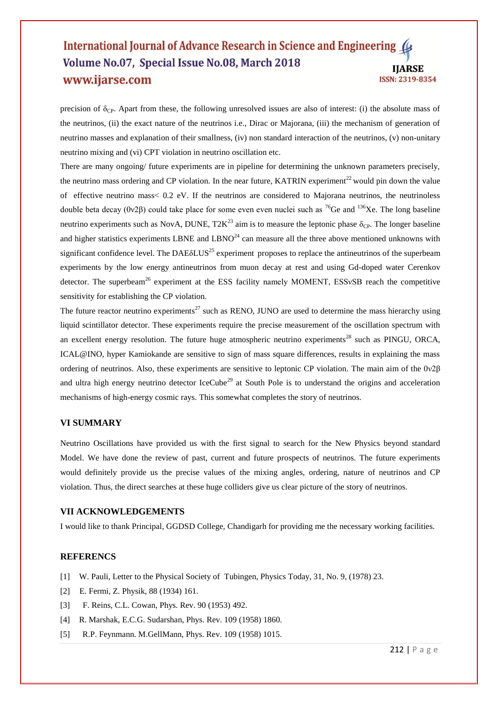precision of  $\delta_{CP}$ . Apart from these, the following unresolved issues are also of interest: (i) the absolute mass of the neutrinos, (ii) the exact nature of the neutrinos i.e., Dirac or Majorana, (iii) the mechanism of generation of neutrino masses and explanation of their smallness, (iv) non standard interaction of the neutrinos, (v) non-unitary neutrino mixing and (vi) CPT violation in neutrino oscillation etc.

There are many ongoing/ future experiments are in pipeline for determining the unknown parameters precisely, the neutrino mass ordering and CP violation. In the near future, KATRIN experiment<sup>22</sup> would pin down the value of effective neutrino mass˂ 0.2 eV. If the neutrinos are considered to Majorana neutrinos, the neutrinoless double beta decay (0ν2β) could take place for some even even nuclei such as <sup>76</sup>Ge and <sup>136</sup>Xe. The long baseline neutrino experiments such as NovA, DUNE,  $T2K^{23}$  aim is to measure the leptonic phase  $\delta_{CP}$ . The longer baseline and higher statistics experiments LBNE and LBNO $^{24}$  can measure all the three above mentioned unknowns with significant confidence level. The  $DAE\delta LUS^{25}$  experiment proposes to replace the antineutrinos of the superbeam experiments by the low energy antineutrinos from muon decay at rest and using Gd-doped water Cerenkov detector. The superbeam<sup>26</sup> experiment at the ESS facility namely MOMENT, ESSvSB reach the competitive sensitivity for establishing the CP violation.

The future reactor neutrino experiments<sup>27</sup> such as RENO, JUNO are used to determine the mass hierarchy using liquid scintillator detector. These experiments require the precise measurement of the oscillation spectrum with an excellent energy resolution. The future huge atmospheric neutrino experiments<sup>28</sup> such as PINGU, ORCA, ICAL@INO, hyper Kamiokande are sensitive to sign of mass square differences, results in explaining the mass ordering of neutrinos. Also, these experiments are sensitive to leptonic CP violation. The main aim of the 0ν2β and ultra high energy neutrino detector IceCube<sup>29</sup> at South Pole is to understand the origins and acceleration mechanisms of high-energy cosmic rays. This somewhat completes the story of neutrinos.

## **VI SUMMARY**

Neutrino Oscillations have provided us with the first signal to search for the New Physics beyond standard Model. We have done the review of past, current and future prospects of neutrinos. The future experiments would definitely provide us the precise values of the mixing angles, ordering, nature of neutrinos and CP violation. Thus, the direct searches at these huge colliders give us clear picture of the story of neutrinos.

#### **VII ACKNOWLEDGEMENTS**

I would like to thank Principal, GGDSD College, Chandigarh for providing me the necessary working facilities.

#### **REFERENCS**

- [1] W. Pauli, Letter to the Physical Society of Tubingen, Physics Today, 31, No. 9, (1978) 23.
- [2] E. Fermi, Z. Physik, 88 (1934) 161.
- [3] F. Reins, C.L. Cowan, Phys. Rev. 90 (1953) 492.
- [4] R. Marshak, E.C.G. Sudarshan, Phys. Rev. 109 (1958) 1860.
- [5] R.P. Feynmann. M.GellMann, Phys. Rev. 109 (1958) 1015.